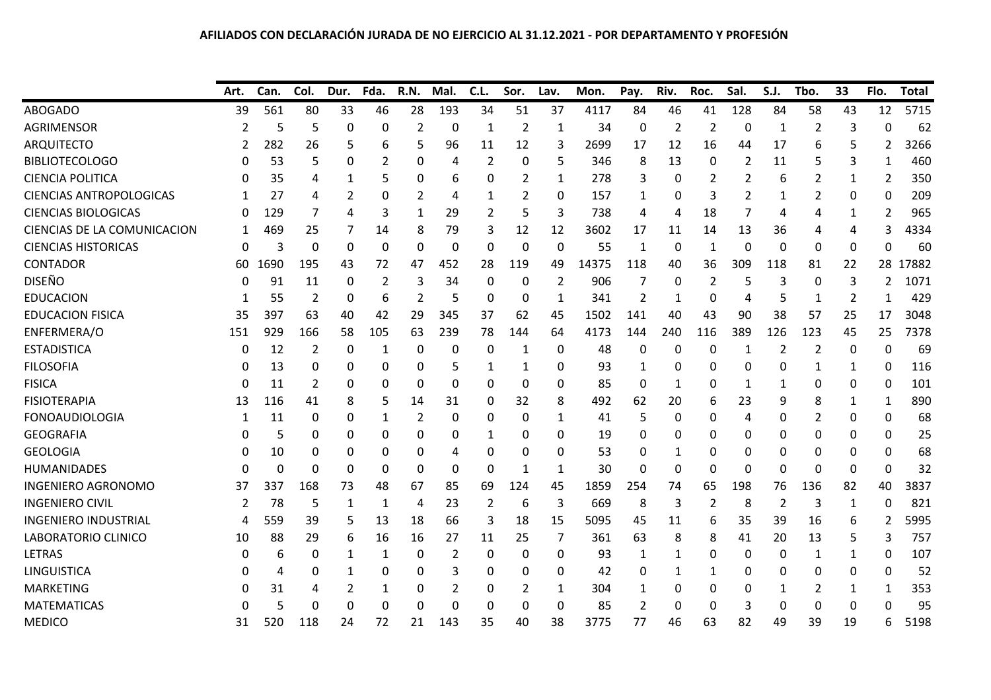## **AFILIADOS CON DECLARACIÓN JURADA DE NO EJERCICIO AL 31.12.2021 ‐ POR DEPARTAMENTO Y PROFESIÓN**

|                                | Art.     | Can.     | Col.           | Dur.     | Fda.           | R.N.           | Mal.     | C.L.     | Sor.             | Lav.           | Mon.  | Pay.           | Riv.           | Roc.           | Sal.           | S.J.           | Tbo.           | 33       | Flo.           | <b>Total</b> |
|--------------------------------|----------|----------|----------------|----------|----------------|----------------|----------|----------|------------------|----------------|-------|----------------|----------------|----------------|----------------|----------------|----------------|----------|----------------|--------------|
| <b>ABOGADO</b>                 | 39       | 561      | 80             | 33       | 46             | 28             | 193      | 34       | 51               | 37             | 4117  | 84             | 46             | 41             | 128            | 84             | 58             | 43       | 12             | 5715         |
| <b>AGRIMENSOR</b>              | 2        | 5        | 5              | 0        | 0              | 2              | $\Omega$ | 1        | $\overline{2}$   | 1              | 34    | $\mathbf 0$    | $\overline{2}$ | $\overline{2}$ | 0              | 1              | $\overline{2}$ | 3        | $\mathbf 0$    | 62           |
| <b>ARQUITECTO</b>              | 2        | 282      | 26             | 5        | 6              | 5              | 96       | 11       | 12               | 3              | 2699  | 17             | 12             | 16             | 44             | 17             | 6              | 5        | 2              | 3266         |
| <b>BIBLIOTECOLOGO</b>          |          | 53       | 5              | 0        | 2              | 0              | 4        | 2        | $\Omega$         | 5              | 346   | 8              | 13             | 0              | 2              | 11             | 5              | 3        | 1              | 460          |
| <b>CIENCIA POLITICA</b>        | 0        | 35       | 4              | 1        | 5              | 0              | 6        | 0        | 2                | $\mathbf{1}$   | 278   | 3              | 0              | 2              | 2              | 6              | 2              | 1        | 2              | 350          |
| <b>CIENCIAS ANTROPOLOGICAS</b> |          | 27       | 4              | 2        | 0              | $\overline{2}$ | 4        | 1        | $\overline{2}$   | 0              | 157   | $\mathbf{1}$   | 0              | 3              | $\overline{2}$ | 1              | 2              | 0        | 0              | 209          |
| <b>CIENCIAS BIOLOGICAS</b>     | 0        | 129      | 7              | 4        | 3              | 1              | 29       | 2        | 5                | 3              | 738   | 4              | 4              | 18             | 7              | 4              | 4              | 1        | $\overline{2}$ | 965          |
| CIENCIAS DE LA COMUNICACION    | 1        | 469      | 25             | 7        | 14             | 8              | 79       | 3        | 12               | 12             | 3602  | 17             | 11             | 14             | 13             | 36             | 4              | 4        | 3              | 4334         |
| <b>CIENCIAS HISTORICAS</b>     | 0        | 3        | 0              | 0        | 0              | $\mathbf 0$    | 0        | $\Omega$ | $\Omega$         | $\mathbf 0$    | 55    | $\mathbf{1}$   | 0              | $\mathbf{1}$   | $\Omega$       | 0              | 0              | 0        | $\Omega$       | 60           |
| <b>CONTADOR</b>                | 60       | 1690     | 195            | 43       | 72             | 47             | 452      | 28       | 119              | 49             | 14375 | 118            | 40             | 36             | 309            | 118            | 81             | 22       | 28             | .7882<br>-1  |
| <b>DISEÑO</b>                  | 0        | 91       | 11             | 0        | $\overline{2}$ | 3              | 34       | 0        | 0                | $\overline{2}$ | 906   | 7              | 0              | 2              | 5              | 3              | 0              | 3        | 2              | 1071         |
| <b>EDUCACION</b>               | 1        | 55       | $\overline{2}$ | 0        | 6              | $\overline{2}$ | 5        | 0        | $\boldsymbol{0}$ | 1              | 341   | $\overline{2}$ | 1              | 0              | 4              | 5              | 1              | 2        | $\mathbf{1}$   | 429          |
| <b>EDUCACION FISICA</b>        | 35       | 397      | 63             | 40       | 42             | 29             | 345      | 37       | 62               | 45             | 1502  | 141            | 40             | 43             | 90             | 38             | 57             | 25       | 17             | 3048         |
| ENFERMERA/O                    | 151      | 929      | 166            | 58       | 105            | 63             | 239      | 78       | 144              | 64             | 4173  | 144            | 240            | 116            | 389            | 126            | 123            | 45       | 25             | 7378         |
| <b>ESTADISTICA</b>             | 0        | 12       | 2              | $\Omega$ | 1              | 0              | 0        | 0        | 1                | 0              | 48    | 0              | 0              | 0              | 1              | 2              | 2              | 0        | $\mathbf 0$    | 69           |
| <b>FILOSOFIA</b>               | 0        | 13       | 0              | 0        | 0              | 0              | 5        | 1        | 1                | 0              | 93    | 1              | 0              | 0              | 0              | 0              | 1              | 1        | 0              | 116          |
| <b>FISICA</b>                  | 0        | 11       | 2              | 0        | 0              | $\Omega$       | 0        | 0        | $\Omega$         | 0              | 85    | $\Omega$       | 1              | 0              | 1              | 1              | 0              | 0        | $\Omega$       | 101          |
| <b>FISIOTERAPIA</b>            | 13       | 116      | 41             | 8        | 5              | 14             | 31       | 0        | 32               | 8              | 492   | 62             | 20             | 6              | 23             | 9              | 8              | 1        | 1              | 890          |
| <b>FONOAUDIOLOGIA</b>          |          | 11       | 0              | 0        | 1              | $\overline{2}$ | 0        | 0        | 0                | 1              | 41    | 5              | 0              | 0              | 4              | 0              | 2              | 0        | 0              | 68           |
| <b>GEOGRAFIA</b>               | O        | 5        | 0              | 0        | 0              | 0              | 0        | 1        | 0                | 0              | 19    | 0              | 0              | 0              | 0              | 0              | 0              | 0        | 0              | 25           |
| <b>GEOLOGIA</b>                | $\Omega$ | 10       | 0              | 0        | 0              | 0              | 4        | 0        | 0                | 0              | 53    | 0              | 1              | 0              | 0              | 0              | 0              | 0        | 0              | 68           |
| <b>HUMANIDADES</b>             | 0        | $\Omega$ | $\Omega$       | $\Omega$ | 0              | $\Omega$       | $\Omega$ | $\Omega$ | 1                | $\mathbf{1}$   | 30    | $\Omega$       | $\Omega$       | $\mathbf{0}$   | $\mathbf{0}$   | 0              | 0              | $\Omega$ | 0              | 32           |
| <b>INGENIERO AGRONOMO</b>      | 37       | 337      | 168            | 73       | 48             | 67             | 85       | 69       | 124              | 45             | 1859  | 254            | 74             | 65             | 198            | 76             | 136            | 82       | 40             | 3837         |
| <b>INGENIERO CIVIL</b>         | 2        | 78       | 5              | 1        | $\mathbf{1}$   | 4              | 23       | 2        | 6                | 3              | 669   | 8              | 3              | $\overline{2}$ | 8              | $\overline{2}$ | 3              | 1        | $\Omega$       | 821          |
| <b>INGENIERO INDUSTRIAL</b>    | 4        | 559      | 39             | 5        | 13             | 18             | 66       | 3        | 18               | 15             | 5095  | 45             | 11             | 6              | 35             | 39             | 16             | 6        | 2              | 5995         |
| LABORATORIO CLINICO            | 10       | 88       | 29             | 6        | 16             | 16             | 27       | 11       | 25               | 7              | 361   | 63             | 8              | 8              | 41             | 20             | 13             | 5        | 3              | 757          |
| <b>LETRAS</b>                  | 0        | 6        | 0              | 1        | 1              | 0              | 2        | 0        | 0                | 0              | 93    | 1              | 1              | 0              | 0              | 0              | 1              | 1        | 0              | 107          |
| <b>LINGUISTICA</b>             | O        | Δ        | 0              | 1        | 0              | 0              | 3        | 0        | $\Omega$         | 0              | 42    | 0              | 1              | 1              | 0              | 0              | 0              | 0        | $\Omega$       | 52           |
| <b>MARKETING</b>               |          | 31       | 4              | 2        | 1              | 0              | 2        | 0        | 2                | 1              | 304   | 1              | 0              | 0              | 0              | 1              | 2              | 1        | 1              | 353          |
| <b>MATEMATICAS</b>             | 0        | 5        | 0              | $\Omega$ | $\Omega$       | 0              | 0        | 0        | 0                | 0              | 85    | $\overline{2}$ | 0              | 0              | 3              | 0              | 0              | 0        | $\Omega$       | 95           |
| <b>MEDICO</b>                  | 31       | 520      | 118            | 24       | 72             | 21             | 143      | 35       | 40               | 38             | 3775  | 77             | 46             | 63             | 82             | 49             | 39             | 19       | 6              | 5198         |